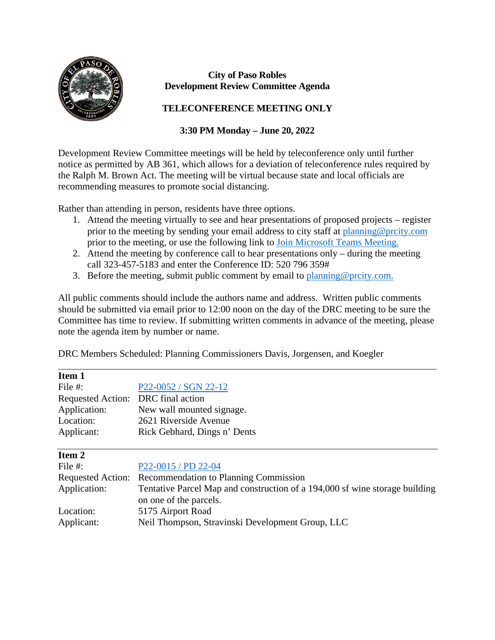

 $\overline{a}$ 

## **City of Paso Robles Development Review Committee Agenda**

## **TELECONFERENCE MEETING ONLY**

## **3:30 PM Monday – June 20, 2022**

Development Review Committee meetings will be held by teleconference only until further notice as permitted by AB 361, which allows for a deviation of teleconference rules required by the Ralph M. Brown Act. The meeting will be virtual because state and local officials are recommending measures to promote social distancing.

Rather than attending in person, residents have three options.

- 1. Attend the meeting virtually to see and hear presentations of proposed projects register prior to the meeting by sending your email address to city staff at [planning@prcity.com](mailto:planning@prcity.com) prior to the meeting, or use the following link to [Join Microsoft Teams Meeting.](https://teams.microsoft.com/l/meetup-join/19%3ameeting_NTcyNWNkNDgtMGEyNi00NDEwLWJmZTUtODQ0ODJmNDFiNWU2%40thread.v2/0?context=%7b%22Tid%22%3a%221a5b5698-d524-42f2-abba-fb4615f7b1d6%22%2c%22Oid%22%3a%2266ba4e2a-3671-4e72-9d7a-eef3135a0aef%22%7d)
- 2. Attend the meeting by conference call to hear presentations only during the meeting call 323-457-5183 and enter the Conference ID: 520 796 359#
- 3. Before the meeting, submit public comment by email to [planning@prcity.com.](mailto:planning@prcity.com)

All public comments should include the authors name and address. Written public comments should be submitted via email prior to 12:00 noon on the day of the DRC meeting to be sure the Committee has time to review. If submitting written comments in advance of the meeting, please note the agenda item by number or name.

DRC Members Scheduled: Planning Commissioners Davis, Jorgensen, and Koegler

| Item 1                             |                                                                             |
|------------------------------------|-----------------------------------------------------------------------------|
| File #:                            | P22-0052 / SGN 22-12                                                        |
| Requested Action: DRC final action |                                                                             |
| Application:                       | New wall mounted signage.                                                   |
| Location:                          | 2621 Riverside Avenue                                                       |
| Applicant:                         | Rick Gebhard, Dings n' Dents                                                |
|                                    |                                                                             |
| Item 2                             |                                                                             |
| File #:                            | P22-0015 / PD 22-04                                                         |
| <b>Requested Action:</b>           | Recommendation to Planning Commission                                       |
| Application:                       | Tentative Parcel Map and construction of a 194,000 sf wine storage building |
|                                    | on one of the parcels.                                                      |
| Location:                          | 5175 Airport Road                                                           |
| Applicant:                         | Neil Thompson, Stravinski Development Group, LLC                            |
|                                    |                                                                             |